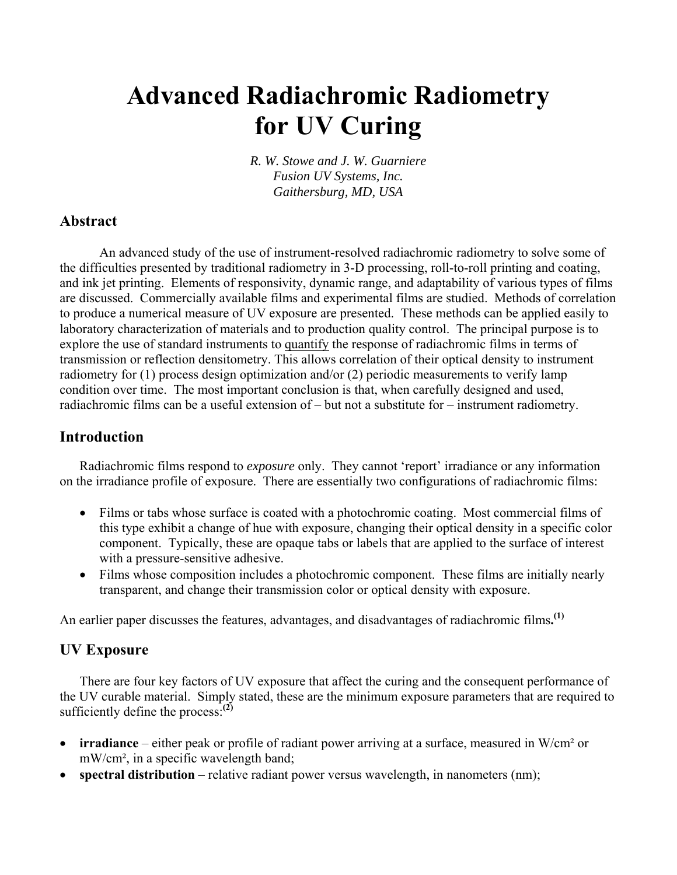# **Advanced Radiachromic Radiometry for UV Curing**

*R. W. Stowe and J. W. Guarniere Fusion UV Systems, Inc. Gaithersburg, MD, USA*

## **Abstract**

An advanced study of the use of instrument-resolved radiachromic radiometry to solve some of the difficulties presented by traditional radiometry in 3-D processing, roll-to-roll printing and coating, and ink jet printing. Elements of responsivity, dynamic range, and adaptability of various types of films are discussed. Commercially available films and experimental films are studied. Methods of correlation to produce a numerical measure of UV exposure are presented. These methods can be applied easily to laboratory characterization of materials and to production quality control. The principal purpose is to explore the use of standard instruments to quantify the response of radiachromic films in terms of transmission or reflection densitometry. This allows correlation of their optical density to instrument radiometry for (1) process design optimization and/or (2) periodic measurements to verify lamp condition over time. The most important conclusion is that, when carefully designed and used, radiachromic films can be a useful extension of – but not a substitute for – instrument radiometry.

#### **Introduction**

Radiachromic films respond to *exposure* only. They cannot 'report' irradiance or any information on the irradiance profile of exposure. There are essentially two configurations of radiachromic films:

- Films or tabs whose surface is coated with a photochromic coating. Most commercial films of this type exhibit a change of hue with exposure, changing their optical density in a specific color component. Typically, these are opaque tabs or labels that are applied to the surface of interest with a pressure-sensitive adhesive.
- Films whose composition includes a photochromic component. These films are initially nearly transparent, and change their transmission color or optical density with exposure.

An earlier paper discusses the features, advantages, and disadvantages of radiachromic films**. (1)**

## **UV Exposure**

There are four key factors of UV exposure that affect the curing and the consequent performance of the UV curable material. Simply stated, these are the minimum exposure parameters that are required to sufficiently define the process:**(2)**

- **irradiance** either peak or profile of radiant power arriving at a surface, measured in W/cm² or mW/cm², in a specific wavelength band;
- **spectral distribution** relative radiant power versus wavelength, in nanometers (nm);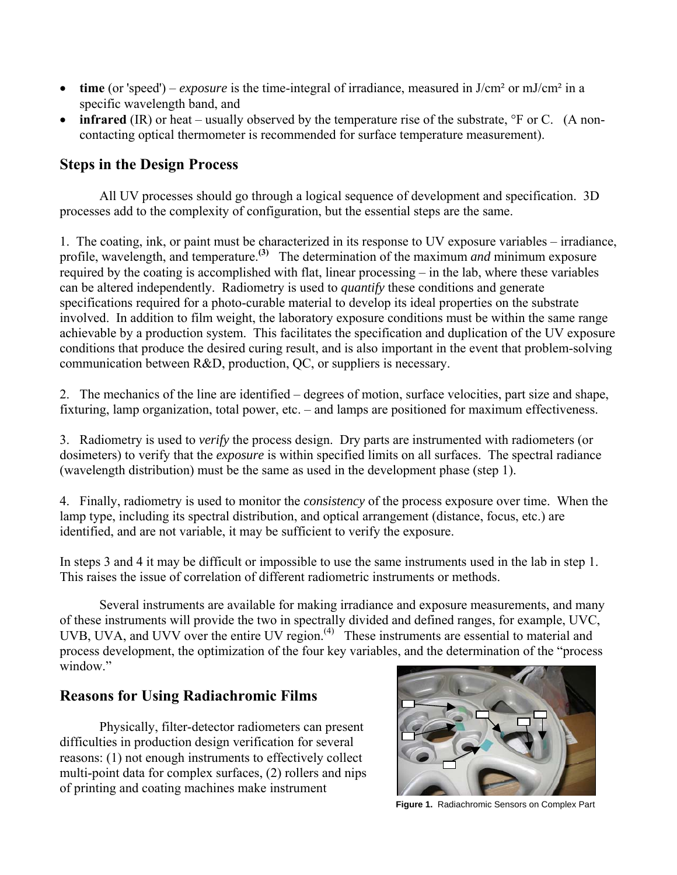- **time** (or 'speed') *exposure* is the time-integral of irradiance, measured in J/cm² or mJ/cm² in a specific wavelength band, and
- **infrared** (IR) or heat usually observed by the temperature rise of the substrate, <sup>o</sup>F or C. (A noncontacting optical thermometer is recommended for surface temperature measurement).

# **Steps in the Design Process**

All UV processes should go through a logical sequence of development and specification. 3D processes add to the complexity of configuration, but the essential steps are the same.

1. The coating, ink, or paint must be characterized in its response to UV exposure variables – irradiance, profile, wavelength, and temperature.**(3)** The determination of the maximum *and* minimum exposure required by the coating is accomplished with flat, linear processing – in the lab, where these variables can be altered independently. Radiometry is used to *quantify* these conditions and generate specifications required for a photo-curable material to develop its ideal properties on the substrate involved. In addition to film weight, the laboratory exposure conditions must be within the same range achievable by a production system. This facilitates the specification and duplication of the UV exposure conditions that produce the desired curing result, and is also important in the event that problem-solving communication between R&D, production, QC, or suppliers is necessary.

2. The mechanics of the line are identified – degrees of motion, surface velocities, part size and shape, fixturing, lamp organization, total power, etc. – and lamps are positioned for maximum effectiveness.

3. Radiometry is used to *verify* the process design. Dry parts are instrumented with radiometers (or dosimeters) to verify that the *exposure* is within specified limits on all surfaces. The spectral radiance (wavelength distribution) must be the same as used in the development phase (step 1).

4. Finally, radiometry is used to monitor the *consistency* of the process exposure over time. When the lamp type, including its spectral distribution, and optical arrangement (distance, focus, etc.) are identified, and are not variable, it may be sufficient to verify the exposure.

In steps 3 and 4 it may be difficult or impossible to use the same instruments used in the lab in step 1. This raises the issue of correlation of different radiometric instruments or methods.

Several instruments are available for making irradiance and exposure measurements, and many of these instruments will provide the two in spectrally divided and defined ranges, for example, UVC, UVB, UVA, and UVV over the entire UV region. $^{(4)}$  These instruments are essential to material and process development, the optimization of the four key variables, and the determination of the "process window"

## **Reasons for Using Radiachromic Films**

Physically, filter-detector radiometers can present difficulties in production design verification for several reasons: (1) not enough instruments to effectively collect multi-point data for complex surfaces, (2) rollers and nips of printing and coating machines make instrument



**Figure 1.** Radiachromic Sensors on Complex Part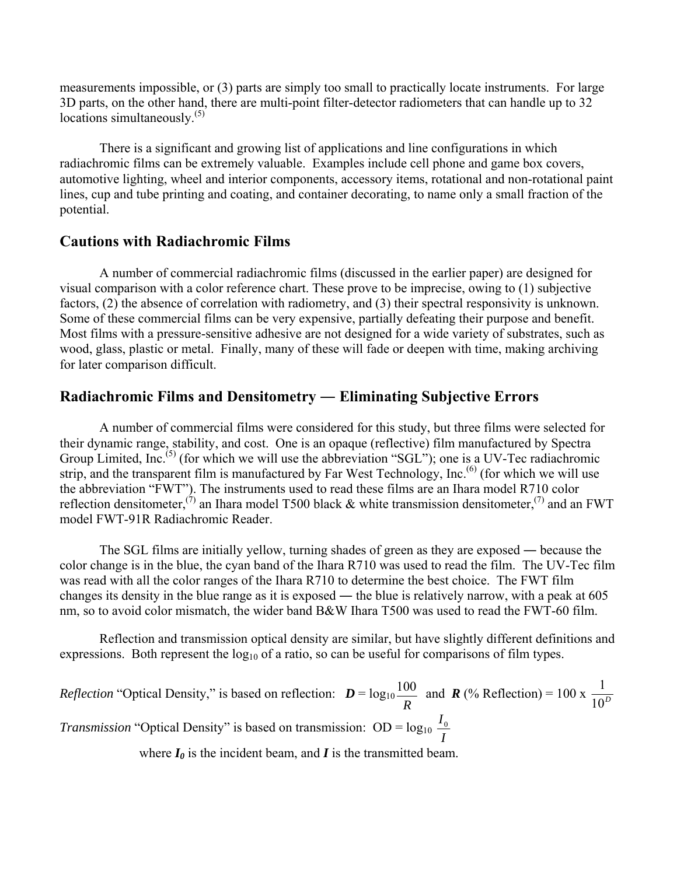measurements impossible, or (3) parts are simply too small to practically locate instruments. For large 3D parts, on the other hand, there are multi-point filter-detector radiometers that can handle up to 32 locations simultaneously. $(5)$ 

There is a significant and growing list of applications and line configurations in which radiachromic films can be extremely valuable. Examples include cell phone and game box covers, automotive lighting, wheel and interior components, accessory items, rotational and non-rotational paint lines, cup and tube printing and coating, and container decorating, to name only a small fraction of the potential.

#### **Cautions with Radiachromic Films**

A number of commercial radiachromic films (discussed in the earlier paper) are designed for visual comparison with a color reference chart. These prove to be imprecise, owing to (1) subjective factors, (2) the absence of correlation with radiometry, and (3) their spectral responsivity is unknown. Some of these commercial films can be very expensive, partially defeating their purpose and benefit. Most films with a pressure-sensitive adhesive are not designed for a wide variety of substrates, such as wood, glass, plastic or metal. Finally, many of these will fade or deepen with time, making archiving for later comparison difficult.

# **Radiachromic Films and Densitometry ― Eliminating Subjective Errors**

A number of commercial films were considered for this study, but three films were selected for their dynamic range, stability, and cost. One is an opaque (reflective) film manufactured by Spectra Group Limited, Inc.<sup>(5)</sup> (for which we will use the abbreviation "SGL"); one is a UV-Tec radiachromic strip, and the transparent film is manufactured by Far West Technology, Inc.<sup>(6)</sup> (for which we will use the abbreviation "FWT"). The instruments used to read these films are an Ihara model R710 color reflection densitometer,<sup>(7)</sup> an Ihara model T500 black & white transmission densitometer,<sup>(7)</sup> and an FWT model FWT-91R Radiachromic Reader.

The SGL films are initially yellow, turning shades of green as they are exposed — because the color change is in the blue, the cyan band of the Ihara R710 was used to read the film. The UV-Tec film was read with all the color ranges of the Ihara R710 to determine the best choice. The FWT film changes its density in the blue range as it is exposed ― the blue is relatively narrow, with a peak at 605 nm, so to avoid color mismatch, the wider band B&W Ihara T500 was used to read the FWT-60 film.

Reflection and transmission optical density are similar, but have slightly different definitions and expressions. Both represent the  $log_{10}$  of a ratio, so can be useful for comparisons of film types.

*Reflection* "Optical Density," is based on reflection:  $D = log_{10}$  $\frac{100}{R}$  and *R* (% Reflection) = 100 x  $\frac{1}{10^{D}}$ *Transmission* "Optical Density" is based on transmission: OD =  $log_{10} \frac{I_0}{I}$ 

where  $I_0$  is the incident beam, and  $I$  is the transmitted beam.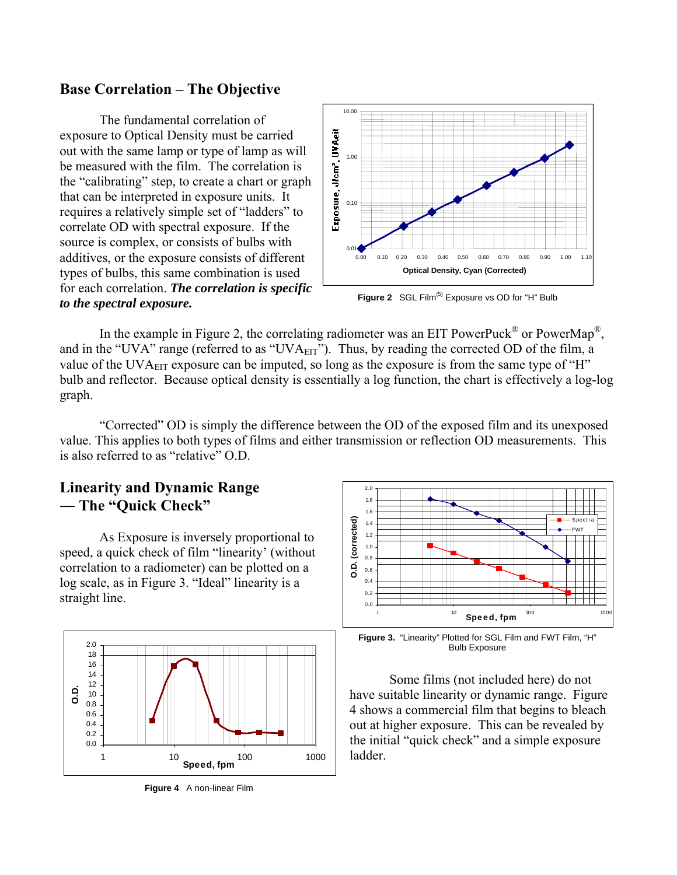#### **Base Correlation – The Objective**

The fundamental correlation of exposure to Optical Density must be carried out with the same lamp or type of lamp as will be measured with the film. The correlation is the "calibrating" step, to create a chart or graph that can be interpreted in exposure units. It requires a relatively simple set of "ladders" to correlate OD with spectral exposure. If the source is complex, or consists of bulbs with additives, or the exposure consists of different types of bulbs, this same combination is used for each correlation. *The correlation is specific to the spectral exposure.* 



Figure 2 SGL Film<sup>(5)</sup> Exposure vs OD for "H" Bulb

In the example in Figure 2, the correlating radiometer was an EIT PowerPuck<sup>®</sup> or PowerMap<sup>®</sup>. and in the "UVA" range (referred to as "UVA<sub>EIT</sub>"). Thus, by reading the corrected OD of the film, a value of the UVA<sub>EIT</sub> exposure can be imputed, so long as the exposure is from the same type of "H" bulb and reflector. Because optical density is essentially a log function, the chart is effectively a log-log graph.

"Corrected" OD is simply the difference between the OD of the exposed film and its unexposed value. This applies to both types of films and either transmission or reflection OD measurements. This is also referred to as "relative" O.D.

# **Linearity and Dynamic Range ― The "Quick Check"**

As Exposure is inversely proportional to speed, a quick check of film "linearity' (without correlation to a radiometer) can be plotted on a log scale, as in Figure 3. "Ideal" linearity is a straight line.



**Figure 4** A non-linear Film



**Figure 3.** "Linearity" Plotted for SGL Film and FWT Film, "H" Bulb Exposure

Some films (not included here) do not have suitable linearity or dynamic range. Figure 4 shows a commercial film that begins to bleach out at higher exposure. This can be revealed by the initial "quick check" and a simple exposure ladder.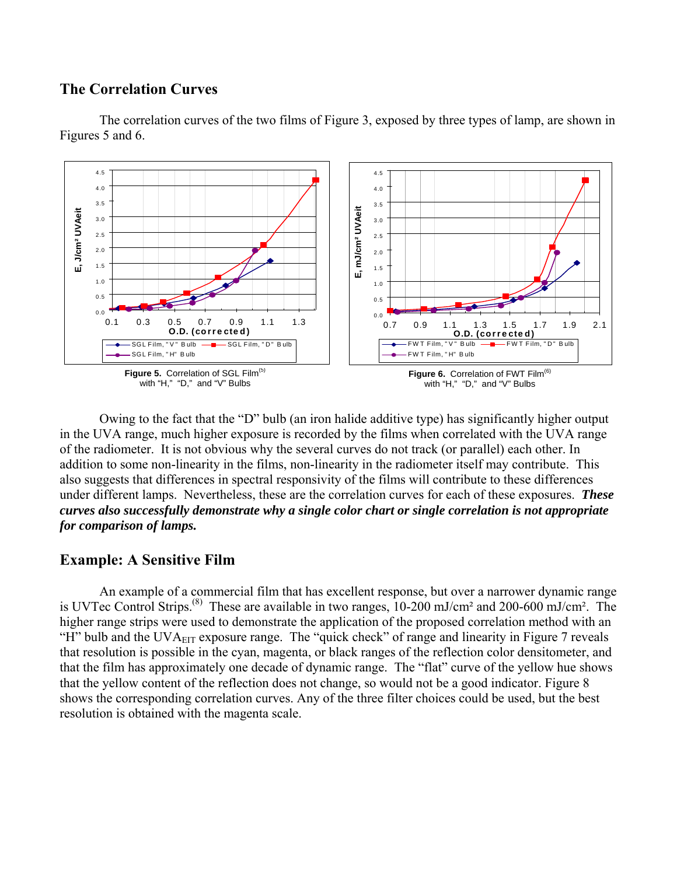#### **The Correlation Curves**



The correlation curves of the two films of Figure 3, exposed by three types of lamp, are shown in Figures 5 and 6.

Owing to the fact that the "D" bulb (an iron halide additive type) has significantly higher output in the UVA range, much higher exposure is recorded by the films when correlated with the UVA range of the radiometer. It is not obvious why the several curves do not track (or parallel) each other. In addition to some non-linearity in the films, non-linearity in the radiometer itself may contribute. This also suggests that differences in spectral responsivity of the films will contribute to these differences under different lamps. Nevertheless, these are the correlation curves for each of these exposures. *These curves also successfully demonstrate why a single color chart or single correlation is not appropriate for comparison of lamps.* 

## **Example: A Sensitive Film**

An example of a commercial film that has excellent response, but over a narrower dynamic range is UVTec Control Strips.(8) These are available in two ranges, 10-200 mJ/cm² and 200-600 mJ/cm². The higher range strips were used to demonstrate the application of the proposed correlation method with an "H" bulb and the UVA $_{\text{EIT}}$  exposure range. The "quick check" of range and linearity in Figure 7 reveals that resolution is possible in the cyan, magenta, or black ranges of the reflection color densitometer, and that the film has approximately one decade of dynamic range. The "flat" curve of the yellow hue shows that the yellow content of the reflection does not change, so would not be a good indicator. Figure 8 shows the corresponding correlation curves. Any of the three filter choices could be used, but the best resolution is obtained with the magenta scale.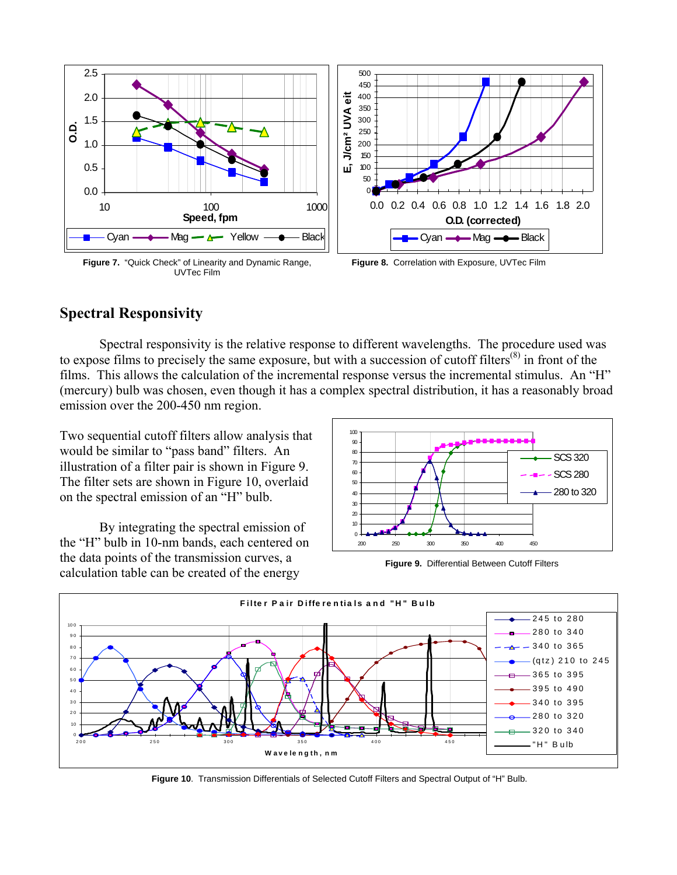

**Figure 7.** "Quick Check" of Linearity and Dynamic Range, UVTec Film

**Figure 8.** Correlation with Exposure, UVTec Film

# **Spectral Responsivity**

Spectral responsivity is the relative response to different wavelengths. The procedure used was to expose films to precisely the same exposure, but with a succession of cutoff filters<sup>(8)</sup> in front of the films. This allows the calculation of the incremental response versus the incremental stimulus. An "H" (mercury) bulb was chosen, even though it has a complex spectral distribution, it has a reasonably broad emission over the 200-450 nm region.

Two sequential cutoff filters allow analysis that would be similar to "pass band" filters. An illustration of a filter pair is shown in Figure 9. The filter sets are shown in Figure 10, overlaid on the spectral emission of an "H" bulb.

By integrating the spectral emission of the "H" bulb in 10-nm bands, each centered on the data points of the transmission curves, a calculation table can be created of the energy **Figure 9.** Differential Between Cutoff Filters





**Figure 10**. Transmission Differentials of Selected Cutoff Filters and Spectral Output of "H" Bulb.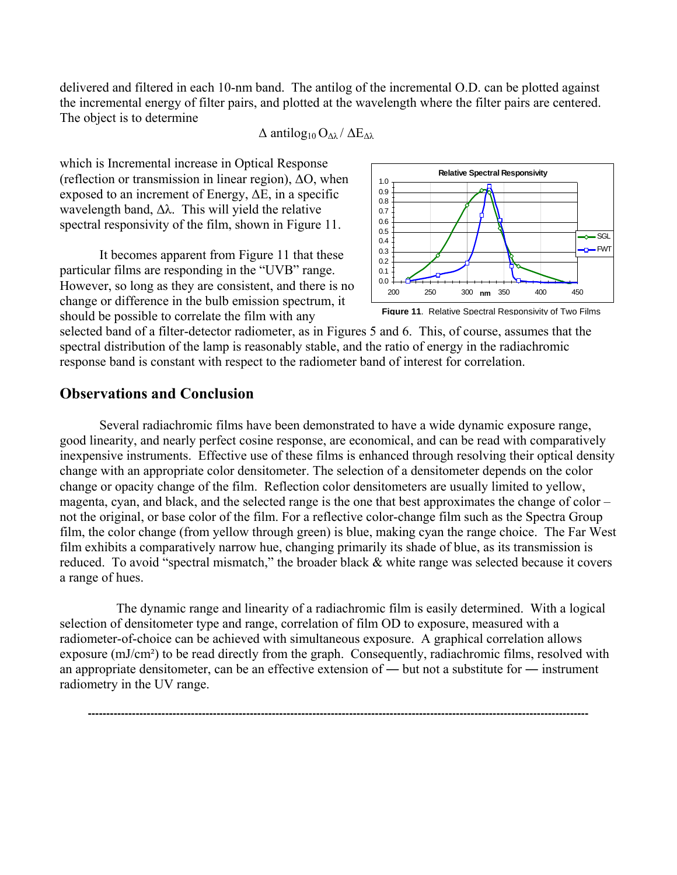delivered and filtered in each 10-nm band. The antilog of the incremental O.D. can be plotted against the incremental energy of filter pairs, and plotted at the wavelength where the filter pairs are centered. The object is to determine

 $\Delta$  antilog<sub>10</sub> O<sub>Δλ</sub> /  $\Delta$ E<sub>Δλ</sub>

which is Incremental increase in Optical Response (reflection or transmission in linear region),  $\Delta O$ , when exposed to an increment of Energy,  $\Delta E$ , in a specific wavelength band,  $\Delta\lambda$ . This will yield the relative spectral responsivity of the film, shown in Figure 11.

It becomes apparent from Figure 11 that these particular films are responding in the "UVB" range. However, so long as they are consistent, and there is no change or difference in the bulb emission spectrum, it should be possible to correlate the film with any



**Figure 11**. Relative Spectral Responsivity of Two Films

selected band of a filter-detector radiometer, as in Figures 5 and 6. This, of course, assumes that the spectral distribution of the lamp is reasonably stable, and the ratio of energy in the radiachromic response band is constant with respect to the radiometer band of interest for correlation.

#### **Observations and Conclusion**

Several radiachromic films have been demonstrated to have a wide dynamic exposure range, good linearity, and nearly perfect cosine response, are economical, and can be read with comparatively inexpensive instruments. Effective use of these films is enhanced through resolving their optical density change with an appropriate color densitometer. The selection of a densitometer depends on the color change or opacity change of the film. Reflection color densitometers are usually limited to yellow, magenta, cyan, and black, and the selected range is the one that best approximates the change of color – not the original, or base color of the film. For a reflective color-change film such as the Spectra Group film, the color change (from yellow through green) is blue, making cyan the range choice. The Far West film exhibits a comparatively narrow hue, changing primarily its shade of blue, as its transmission is reduced. To avoid "spectral mismatch," the broader black & white range was selected because it covers a range of hues.

 The dynamic range and linearity of a radiachromic film is easily determined. With a logical selection of densitometer type and range, correlation of film OD to exposure, measured with a radiometer-of-choice can be achieved with simultaneous exposure. A graphical correlation allows exposure (mJ/cm²) to be read directly from the graph. Consequently, radiachromic films, resolved with an appropriate densitometer, can be an effective extension of ― but not a substitute for ― instrument radiometry in the UV range.

**----------------------------------------------------------------------------------------------------------------------------------------**